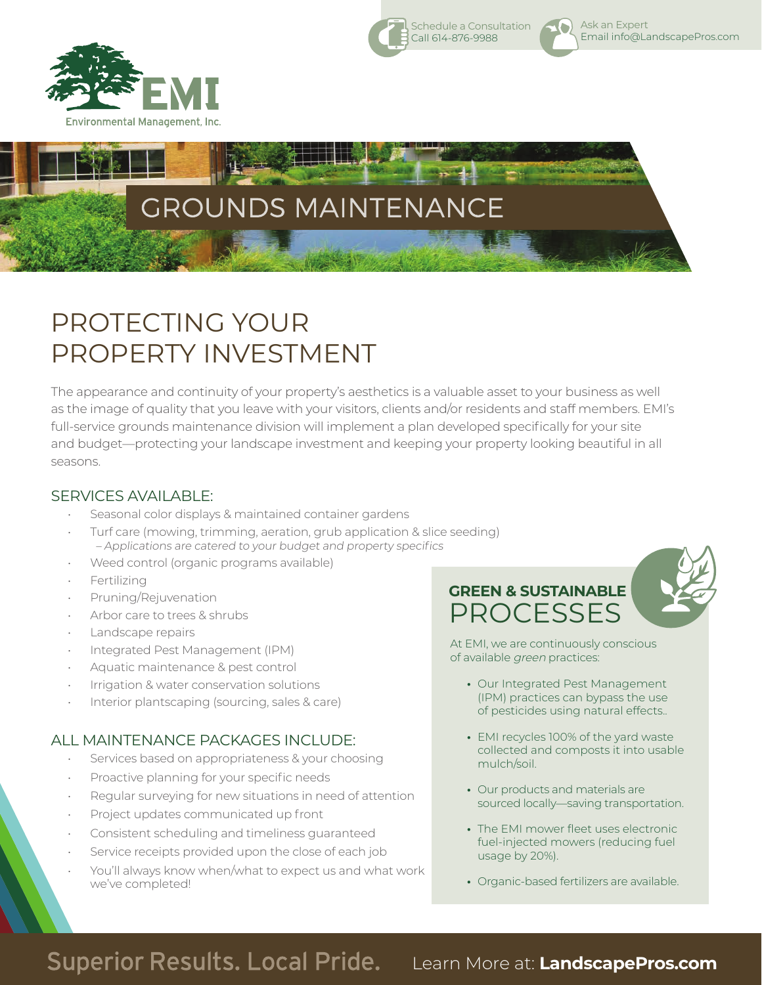



## PROTECTING YOUR PROPERTY INVESTMENT

The appearance and continuity of your property's aesthetics is a valuable asset to your business as well as the image of quality that you leave with your visitors, clients and/or residents and staff members. EMI's full-service grounds maintenance division will implement a plan developed specifically for your site and budget—protecting your landscape investment and keeping your property looking beautiful in all seasons.

#### SERVICES AVAILABLE:

- Seasonal color displays & maintained container gardens
- Turf care (mowing, trimming, aeration, grub application & slice seeding) – Applications are catered to your budget and property specifics
- Weed control (organic programs available)
- **Fertilizing**
- Pruning/Rejuvenation
- Arbor care to trees & shrubs
- Landscape repairs
- Integrated Pest Management (IPM)
- Aquatic maintenance & pest control
- Irrigation & water conservation solutions
- Interior plantscaping (sourcing, sales & care)

#### ALL MAINTENANCE PACKAGES INCLUDE:

- Services based on appropriateness & your choosing
- Proactive planning for your specific needs
- Regular surveying for new situations in need of attention
- Project updates communicated up front
- Consistent scheduling and timeliness guaranteed
- Service receipts provided upon the close of each job
- You'll always know when/what to expect us and what work we've completed!

**GREEN & SUSTAINABLE** PROCESSES



At EMI, we are continuously conscious of available green practices:

**•** Our Integrated Pest Management (IPM) practices can bypass the use of pesticides using natural effects..

Ask an Expert

O.

Schedule a Consultation Call 614-876-9988

Email info@LandscapePros.com

- **•** EMI recycles 100% of the yard waste collected and composts it into usable mulch/soil.
- **•** Our products and materials are sourced locally—saving transportation.
- **•** The EMI mower fleet uses electronic fuel-injected mowers (reducing fuel usage by 20%).
- **•** Organic-based fertilizers are available.

### **Superior Results. Local Pride.**

Learn More at: **LandscapePros.com**